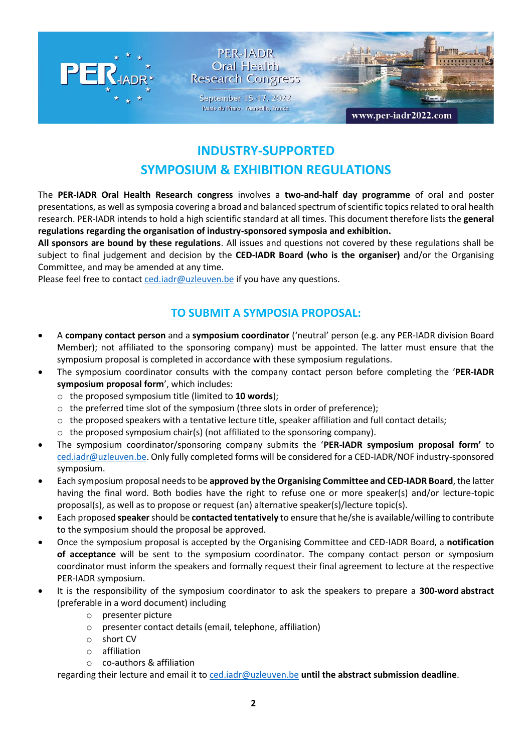

## PER-IADR Oral Health **Research Congress**

September 15-17, 2022 Palais du Pharo - Marseille, France



www.per-iadr2022.com

# **INDUSTRY-SUPPORTED SYMPOSIUM & EXHIBITION REGULATIONS**

The **PER-IADR Oral Health Research congress** involves a **two-and-half day programme** of oral and poster presentations, as well as symposia covering a broad and balanced spectrum of scientific topics related to oral health research. PER-IADR intends to hold a high scientific standard at all times. This document therefore lists the **general regulations regarding the organisation of industry-sponsored symposia and exhibition.**

**All sponsors are bound by these regulations**. All issues and questions not covered by these regulations shall be subject to final judgement and decision by the **CED-IADR Board (who is the organiser)** and/or the Organising Committee, and may be amended at any time.

Please feel free to contac[t ced.iadr@uzleuven.be](mailto:ced.iadr@uzleuven.be) if you have any questions.

## **TO SUBMIT A SYMPOSIA PROPOSAL:**

- A **company contact person** and a **symposium coordinator** ('neutral' person (e.g. any PER-IADR division Board Member); not affiliated to the sponsoring company) must be appointed. The latter must ensure that the symposium proposal is completed in accordance with these symposium regulations.
- The symposium coordinator consults with the company contact person before completing the '**PER-IADR symposium proposal form**', which includes:
	- o the proposed symposium title (limited to **10 words**);
	- o the preferred time slot of the symposium (three slots in order of preference);
	- $\circ$  the proposed speakers with a tentative lecture title, speaker affiliation and full contact details;
	- o the proposed symposium chair(s) (not affiliated to the sponsoring company).
- The symposium coordinator/sponsoring company submits the '**PER-IADR symposium proposal form'** to [ced.iadr@uzleuven.be.](mailto:ced.iadr@uzleuven.be) Only fully completed forms will be considered for a CED-IADR/NOF industry-sponsored symposium.
- Each symposium proposal needs to be **approved by the Organising Committee and CED-IADR Board**, the latter having the final word. Both bodies have the right to refuse one or more speaker(s) and/or lecture-topic proposal(s), as well as to propose or request (an) alternative speaker(s)/lecture topic(s).
- Each proposed **speaker**should be **contacted tentatively** to ensure that he/she is available/willing to contribute to the symposium should the proposal be approved.
- Once the symposium proposal is accepted by the Organising Committee and CED-IADR Board, a **notification of acceptance** will be sent to the symposium coordinator. The company contact person or symposium coordinator must inform the speakers and formally request their final agreement to lecture at the respective PER-IADR symposium.
- It is the responsibility of the symposium coordinator to ask the speakers to prepare a **300-word abstract**  (preferable in a word document) including
	- o presenter picture
	- o presenter contact details (email, telephone, affiliation)
	- o short CV
	- o affiliation
	- o co-authors & affiliation

regarding their lecture and email it to [ced.iadr@uzleuven.be](mailto:ced.iadr@uzleuven.be) **until the abstract submission deadline**.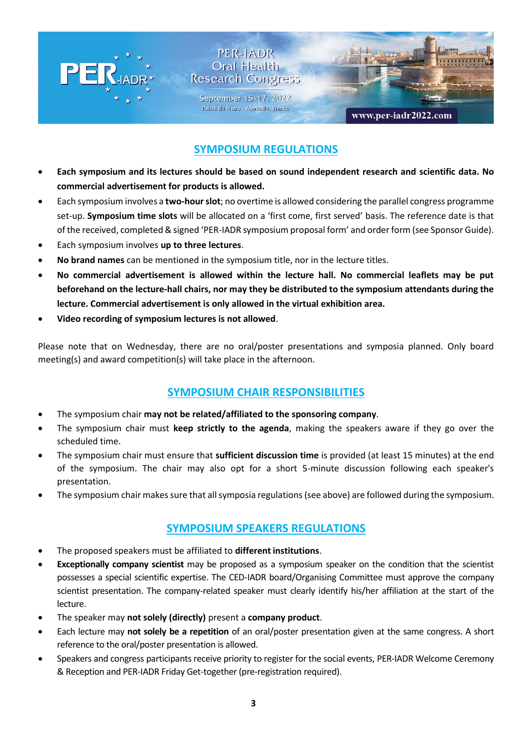

## **SYMPOSIUM REGULATIONS**

- **Each symposium and its lectures should be based on sound independent research and scientific data. No commercial advertisement for products is allowed.**
- Each symposium involves a **two-hour slot**; no overtime is allowed considering the parallel congress programme set-up. **Symposium time slots** will be allocated on a 'first come, first served' basis. The reference date is that of the received, completed & signed 'PER-IADR symposium proposal form' and order form (see Sponsor Guide).
- Each symposium involves **up to three lectures**.
- **No brand names** can be mentioned in the symposium title, nor in the lecture titles.
- **No commercial advertisement is allowed within the lecture hall. No commercial leaflets may be put beforehand on the lecture-hall chairs, nor may they be distributed to the symposium attendants during the lecture. Commercial advertisement is only allowed in the virtual exhibition area.**
- **Video recording of symposium lectures is not allowed**.

Please note that on Wednesday, there are no oral/poster presentations and symposia planned. Only board meeting(s) and award competition(s) will take place in the afternoon.

#### **SYMPOSIUM CHAIR RESPONSIBILITIES**

- The symposium chair **may not be related/affiliated to the sponsoring company**.
- The symposium chair must **keep strictly to the agenda**, making the speakers aware if they go over the scheduled time.
- The symposium chair must ensure that **sufficient discussion time** is provided (at least 15 minutes) at the end of the symposium. The chair may also opt for a short 5-minute discussion following each speaker's presentation.
- The symposium chair makes sure that all symposia regulations (see above) are followed during the symposium.

#### **SYMPOSIUM SPEAKERS REGULATIONS**

- The proposed speakers must be affiliated to **different institutions**.
- **Exceptionally company scientist** may be proposed as a symposium speaker on the condition that the scientist possesses a special scientific expertise. The CED-IADR board/Organising Committee must approve the company scientist presentation. The company-related speaker must clearly identify his/her affiliation at the start of the lecture.
- The speaker may **not solely (directly)** present a **company product**.
- Each lecture may **not solely be a repetition** of an oral/poster presentation given at the same congress. A short reference to the oral/poster presentation is allowed.
- Speakers and congress participants receive priority to register for the social events, PER-IADR Welcome Ceremony & Reception and PER-IADR Friday Get-together (pre-registration required).